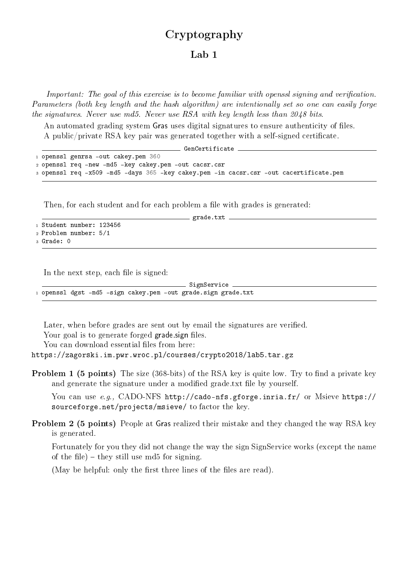## Cryptography

## Lab 1

Important: The goal of this exercise is to become familiar with opensal signing and verification. Parameters (both key length and the hash algorithm) are intentionally set so one can easily forge the signatures. Never use md5. Never use RSA with key length less than 2048 bits.

An automated grading system Gras uses digital signatures to ensure authenticity of files. A public/private RSA key pair was generated together with a self-signed certificate.

| GenCertificate                                                                         |
|----------------------------------------------------------------------------------------|
| 1 openssl genrsa -out cakey.pem 360                                                    |
| 2 openssl req -new -md5 -key cakey.pem -out cacsr.csr                                  |
| 3 openssl req -x509 -md5 -days 365 -key cakey.pem -in cacsr.csr -out cacertificate.pem |

Then, for each student and for each problem a file with grades is generated:

grade.txt -

<sup>1</sup> Student number: 123456 <sup>2</sup> Problem number: 5/1 <sup>3</sup> Grade: 0

In the next step, each file is signed:

 $\_$  SignService <sup>1</sup> openssl dgst -md5 -sign cakey.pem -out grade.sign grade.txt

Later, when before grades are sent out by email the signatures are verified.

Your goal is to generate forged grade sign files.

You can download essential files from here:

https://zagorski.im.pwr.wroc.pl/courses/crypto2018/lab5.tar.gz

**Problem 1 (5 points)** The size  $(368-bits)$  of the RSA key is quite low. Try to find a private key and generate the signature under a modified grade.txt file by yourself.

You can use e.g., CADO-NFS http://cado-nfs.gforge.inria.fr/ or Msieve https:// sourceforge.net/projects/msieve/ to factor the key.

Problem 2 (5 points) People at Gras realized their mistake and they changed the way RSA key is generated.

Fortunately for you they did not change the way the sign SignService works (except the name of the file) – they still use md5 for signing.

(May be helpful: only the first three lines of the files are read).